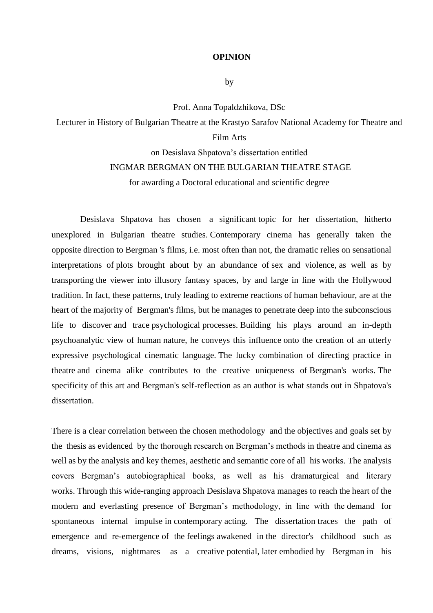## **OPINION**

by

Prof. Anna Topaldzhikova, DSc

Lecturer in History of Bulgarian Theatre at the Krastyo Sarafov National Academy for Theatre and Film Arts

## on Desislava Shpatova's dissertation entitled INGMAR BERGMAN ON THE BULGARIAN THEATRE STAGE

for awarding a Doctoral educational and scientific degree

 Desislava Shpatova has chosen a significant topic for her dissertation, hitherto unexplored in Bulgarian theatre studies. Contemporary cinema has generally taken the opposite direction to Bergman 's films, i.e. most often than not, the dramatic relies on sensational interpretations of plots brought about by an abundance of sex and violence, as well as by transporting the viewer into illusory fantasy spaces, by and large in line with the Hollywood tradition. In fact, these patterns, truly leading to extreme reactions of human behaviour, are at the heart of the majority of Bergman's films, but he manages to penetrate deep into the subconscious life to discover and trace psychological processes. Building his plays around an in-depth psychoanalytic view of human nature, he conveys this influence onto the creation of an utterly expressive psychological cinematic language. The lucky combination of directing practice in theatre and cinema alike contributes to the creative uniqueness of Bergman's works. The specificity of this art and Bergman's self-reflection as an author is what stands out in Shpatova's dissertation.

There is a clear correlation between the chosen methodology and the objectives and goals set by the thesis as evidenced by the thorough research on Bergman's methods in theatre and cinema as well as by the analysis and key themes, aesthetic and semantic core of all his works. The analysis covers Bergman's autobiographical books, as well as his dramaturgical and literary works. Through this wide-ranging approach Desislava Shpatova manages to reach the heart of the modern and everlasting presence of Bergman's methodology, in line with the demand for spontaneous internal impulse in contemporary acting. The dissertation traces the path of emergence and re-emergence of the feelings awakened in the director's childhood such as dreams, visions, nightmares as a creative potential, later embodied by Bergman in his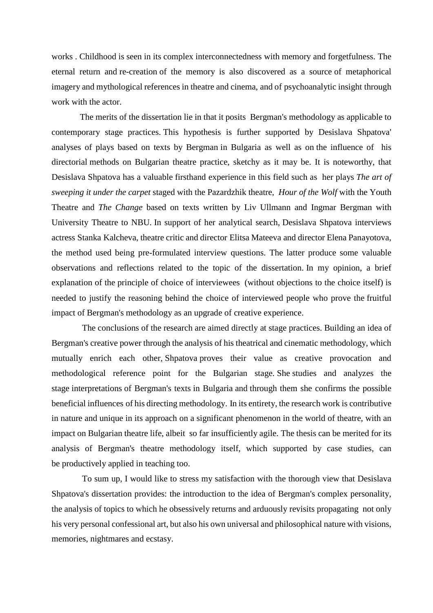works . Childhood is seen in its complex interconnectedness with memory and forgetfulness. The eternal return and re-creation of the memory is also discovered as a source of metaphorical imagery and mythological references in theatre and cinema, and of psychoanalytic insight through work with the actor.

 The merits of the dissertation lie in that it posits Bergman's methodology as applicable to contemporary stage practices. This hypothesis is further supported by Desislava Shpatova' analyses of plays based on texts by Bergman in Bulgaria as well as on the influence of his directorial methods on Bulgarian theatre practice, sketchy as it may be. It is noteworthy, that Desislava Shpatova has a valuable firsthand experience in this field such as her plays *The art of sweeping it under the carpet* staged with the Pazardzhik theatre, *Hour of the Wolf* with the Youth Theatre and *The Change* based on texts written by Liv Ullmann and Ingmar Bergman with University Theatre to NBU. In support of her analytical search, Desislava Shpatova interviews actress Stanka Kalcheva, theatre critic and director Elitsa Mateeva and director Elena Panayotova, the method used being pre-formulated interview questions. The latter produce some valuable observations and reflections related to the topic of the dissertation. In my opinion, a brief explanation of the principle of choice of interviewees (without objections to the choice itself) is needed to justify the reasoning behind the choice of interviewed people who prove the fruitful impact of Bergman's methodology as an upgrade of creative experience.

 The conclusions of the research are aimed directly at stage practices. Building an idea of Bergman's creative power through the analysis of his theatrical and cinematic methodology, which mutually enrich each other, Shpatova proves their value as creative provocation and methodological reference point for the Bulgarian stage. She studies and analyzes the stage interpretations of Bergman's texts in Bulgaria and through them she confirms the possible beneficial influences of his directing methodology. In its entirety, the research work is contributive in nature and unique in its approach on a significant phenomenon in the world of theatre, with an impact on Bulgarian theatre life, albeit so far insufficiently agile. The thesis can be merited for its analysis of Bergman's theatre methodology itself, which supported by case studies, can be productively applied in teaching too.

 To sum up, I would like to stress my satisfaction with the thorough view that Desislava Shpatova's dissertation provides: the introduction to the idea of Bergman's complex personality, the analysis of topics to which he obsessively returns and arduously revisits propagating not only his very personal confessional art, but also his own universal and philosophical nature with visions, memories, nightmares and ecstasy.